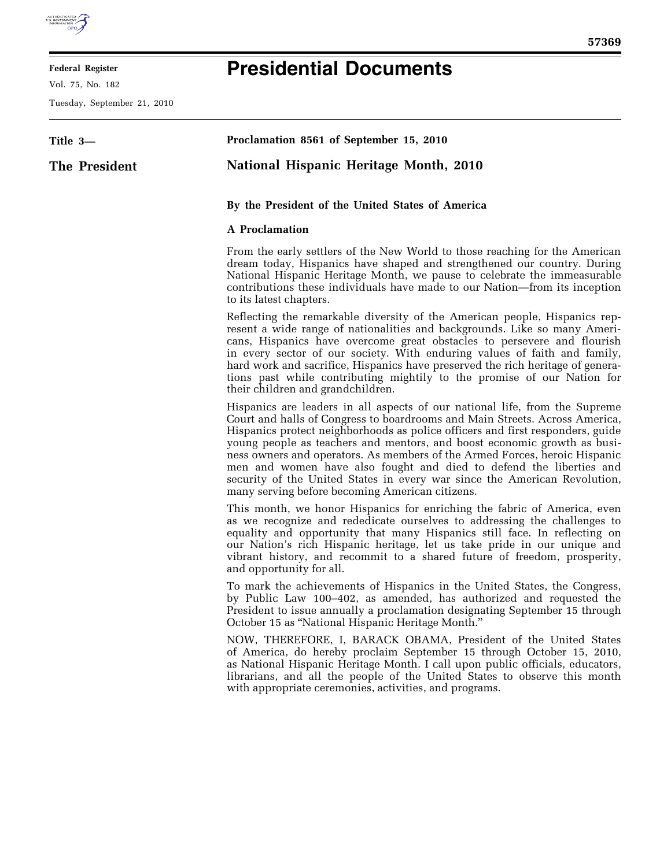

## **Federal Register**

Vol. 75, No. 182

Tuesday, September 21, 2010

## **Presidential Documents**

| Title 3-      | Proclamation 8561 of September 15, 2010                                                                                                                                                                                                                                                                                                                                                                                                                                                                                                                                                                       |
|---------------|---------------------------------------------------------------------------------------------------------------------------------------------------------------------------------------------------------------------------------------------------------------------------------------------------------------------------------------------------------------------------------------------------------------------------------------------------------------------------------------------------------------------------------------------------------------------------------------------------------------|
| The President | <b>National Hispanic Heritage Month, 2010</b>                                                                                                                                                                                                                                                                                                                                                                                                                                                                                                                                                                 |
|               | By the President of the United States of America                                                                                                                                                                                                                                                                                                                                                                                                                                                                                                                                                              |
|               | <b>A</b> Proclamation                                                                                                                                                                                                                                                                                                                                                                                                                                                                                                                                                                                         |
|               | From the early settlers of the New World to those reaching for the American<br>dream today, Hispanics have shaped and strengthened our country. During<br>National Hispanic Heritage Month, we pause to celebrate the immeasurable<br>contributions these individuals have made to our Nation—from its inception<br>to its latest chapters.                                                                                                                                                                                                                                                                   |
|               | Reflecting the remarkable diversity of the American people, Hispanics rep-<br>resent a wide range of nationalities and backgrounds. Like so many Ameri-<br>cans, Hispanics have overcome great obstacles to persevere and flourish<br>in every sector of our society. With enduring values of faith and family,<br>hard work and sacrifice, Hispanics have preserved the rich heritage of genera-<br>tions past while contributing mightily to the promise of our Nation for<br>their children and grandchildren.                                                                                             |
|               | Hispanics are leaders in all aspects of our national life, from the Supreme<br>Court and halls of Congress to boardrooms and Main Streets. Across America,<br>Hispanics protect neighborhoods as police officers and first responders, guide<br>young people as teachers and mentors, and boost economic growth as busi-<br>ness owners and operators. As members of the Armed Forces, heroic Hispanic<br>men and women have also fought and died to defend the liberties and<br>security of the United States in every war since the American Revolution,<br>many serving before becoming American citizens. |
|               | This month, we honor Hispanics for enriching the fabric of America, even<br>as we recognize and rededicate ourselves to addressing the challenges to<br>equality and opportunity that many Hispanics still face. In reflecting on<br>our Nation's rich Hispanic heritage, let us take pride in our unique and<br>vibrant history, and recommit to a shared future of freedom, prosperity,<br>and opportunity for all.                                                                                                                                                                                         |
|               | To mark the achievements of Hispanics in the United States, the Congress,<br>by Public Law 100–402, as amended, has authorized and requested the<br>President to issue annually a proclamation designating September 15 through<br>October 15 as "National Hispanic Heritage Month."                                                                                                                                                                                                                                                                                                                          |
|               | NOW, THEREFORE, I, BARACK OBAMA, President of the United States<br>of America, do hereby proclaim September 15 through October 15, 2010,<br>as National Hispanic Heritage Month. I call upon public officials, educators,<br>librarians, and all the people of the United States to observe this month<br>with appropriate ceremonies, activities, and programs.                                                                                                                                                                                                                                              |
|               |                                                                                                                                                                                                                                                                                                                                                                                                                                                                                                                                                                                                               |